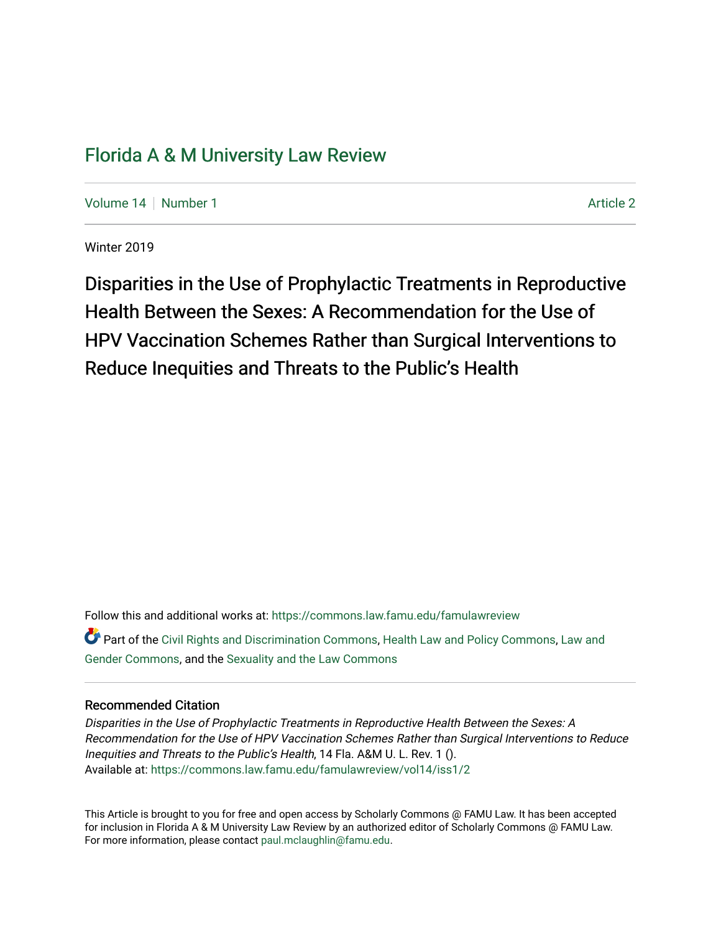# [Florida A & M University Law Review](https://commons.law.famu.edu/famulawreview)

[Volume 14](https://commons.law.famu.edu/famulawreview/vol14) | [Number 1](https://commons.law.famu.edu/famulawreview/vol14/iss1) [Article 2](https://commons.law.famu.edu/famulawreview/vol14/iss1/2) Article 2 Article 2 Article 2 Article 2 Article 2 Article 2 Article 2

Winter 2019

Disparities in the Use of Prophylactic Treatments in Reproductive Health Between the Sexes: A Recommendation for the Use of HPV Vaccination Schemes Rather than Surgical Interventions to Reduce Inequities and Threats to the Public's Health

Follow this and additional works at: [https://commons.law.famu.edu/famulawreview](https://commons.law.famu.edu/famulawreview?utm_source=commons.law.famu.edu%2Ffamulawreview%2Fvol14%2Fiss1%2F2&utm_medium=PDF&utm_campaign=PDFCoverPages)  Part of the [Civil Rights and Discrimination Commons,](http://network.bepress.com/hgg/discipline/585?utm_source=commons.law.famu.edu%2Ffamulawreview%2Fvol14%2Fiss1%2F2&utm_medium=PDF&utm_campaign=PDFCoverPages) [Health Law and Policy Commons](http://network.bepress.com/hgg/discipline/901?utm_source=commons.law.famu.edu%2Ffamulawreview%2Fvol14%2Fiss1%2F2&utm_medium=PDF&utm_campaign=PDFCoverPages), [Law and](http://network.bepress.com/hgg/discipline/1298?utm_source=commons.law.famu.edu%2Ffamulawreview%2Fvol14%2Fiss1%2F2&utm_medium=PDF&utm_campaign=PDFCoverPages)  [Gender Commons,](http://network.bepress.com/hgg/discipline/1298?utm_source=commons.law.famu.edu%2Ffamulawreview%2Fvol14%2Fiss1%2F2&utm_medium=PDF&utm_campaign=PDFCoverPages) and the [Sexuality and the Law Commons](http://network.bepress.com/hgg/discipline/877?utm_source=commons.law.famu.edu%2Ffamulawreview%2Fvol14%2Fiss1%2F2&utm_medium=PDF&utm_campaign=PDFCoverPages) 

# Recommended Citation

Disparities in the Use of Prophylactic Treatments in Reproductive Health Between the Sexes: A Recommendation for the Use of HPV Vaccination Schemes Rather than Surgical Interventions to Reduce Inequities and Threats to the Public's Health, 14 Fla. A&M U. L. Rev. 1 (). Available at: [https://commons.law.famu.edu/famulawreview/vol14/iss1/2](https://commons.law.famu.edu/famulawreview/vol14/iss1/2?utm_source=commons.law.famu.edu%2Ffamulawreview%2Fvol14%2Fiss1%2F2&utm_medium=PDF&utm_campaign=PDFCoverPages)

This Article is brought to you for free and open access by Scholarly Commons @ FAMU Law. It has been accepted for inclusion in Florida A & M University Law Review by an authorized editor of Scholarly Commons @ FAMU Law. For more information, please contact [paul.mclaughlin@famu.edu](mailto:paul.mclaughlin@famu.edu).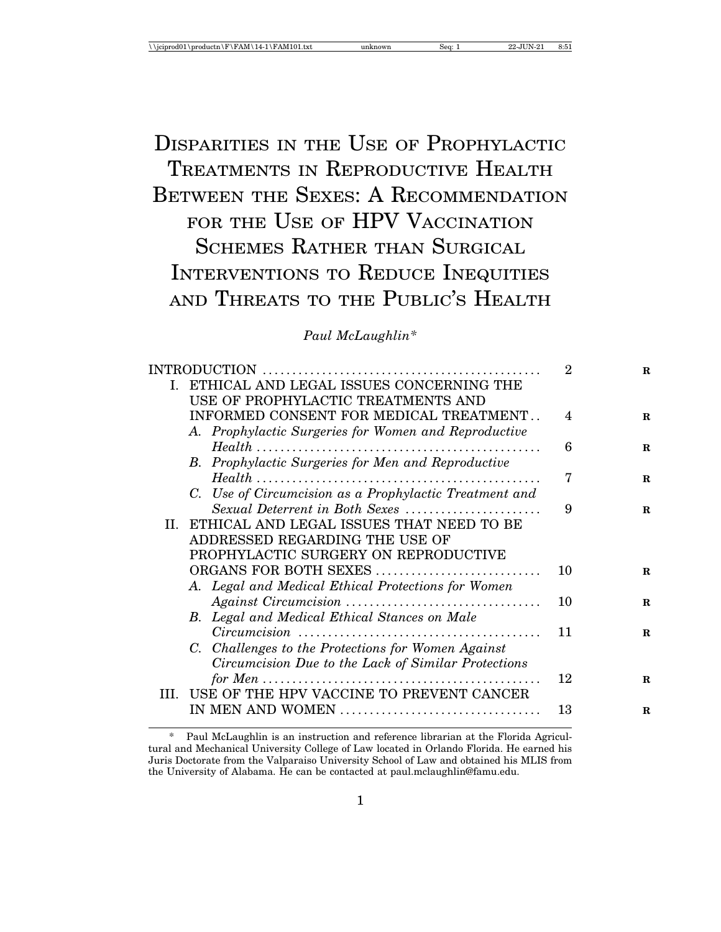# DISPARITIES IN THE USE OF PROPHYLACTIC TREATMENTS IN REPRODUCTIVE HEALTH BETWEEN THE SEXES: A RECOMMENDATION FOR THE USE OF HPV VACCINATION SCHEMES RATHER THAN SURGICAL INTERVENTIONS TO REDUCE INEQUITIES AND THREATS TO THE PUBLIC'S HEALTH

# *Paul McLaughlin\**

|     | CTION                                                                                                    | $\overline{2}$ | R.       |
|-----|----------------------------------------------------------------------------------------------------------|----------------|----------|
| L   | ETHICAL AND LEGAL ISSUES CONCERNING THE                                                                  |                |          |
|     | USE OF PROPHYLACTIC TREATMENTS AND                                                                       |                |          |
|     | INFORMED CONSENT FOR MEDICAL TREATMENT                                                                   | 4              | R        |
|     | A. Prophylactic Surgeries for Women and Reproductive                                                     |                |          |
|     | $Health \dots \dots \dots \dots \dots \dots \dots \dots \dots \dots \dots \dots \dots \dots \dots \dots$ | 6              | R        |
|     | B. Prophylactic Surgeries for Men and Reproductive                                                       |                |          |
|     | $Health \dots \dots \dots \dots \dots \dots \dots \dots \dots \dots \dots \dots \dots \dots \dots \dots$ | 7              | $\bf{R}$ |
|     | C. Use of Circumcision as a Prophylactic Treatment and                                                   |                |          |
|     | Sexual Deterrent in Both Sexes                                                                           | 9              | R        |
| II. | ETHICAL AND LEGAL ISSUES THAT NEED TO BE                                                                 |                |          |
|     | ADDRESSED REGARDING THE USE OF                                                                           |                |          |
|     | PROPHYLACTIC SURGERY ON REPRODUCTIVE                                                                     |                |          |
|     | ORGANS FOR BOTH SEXES                                                                                    | 10             | R        |
|     | A. Legal and Medical Ethical Protections for Women                                                       |                |          |
|     |                                                                                                          | 10             | $\bf{R}$ |
|     | <b>B.</b> Legal and Medical Ethical Stances on Male                                                      |                |          |
|     |                                                                                                          | 11             | R        |
|     | C. Challenges to the Protections for Women Against                                                       |                |          |
|     | Circumcision Due to the Lack of Similar Protections                                                      |                |          |
|     |                                                                                                          | 12             | R        |
| HL. | USE OF THE HPV VACCINE TO PREVENT CANCER                                                                 |                |          |
|     | IN MEN AND WOMEN                                                                                         | 13             | R        |
|     |                                                                                                          |                |          |

<sup>\*</sup> Paul McLaughlin is an instruction and reference librarian at the Florida Agricultural and Mechanical University College of Law located in Orlando Florida. He earned his Juris Doctorate from the Valparaiso University School of Law and obtained his MLIS from the University of Alabama. He can be contacted at paul.mclaughlin@famu.edu.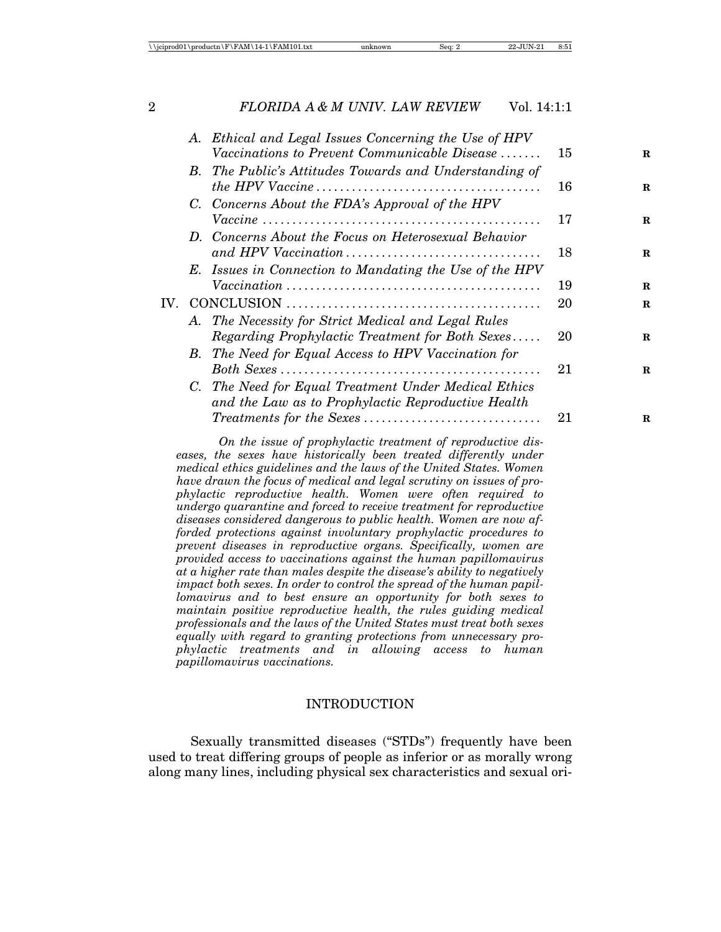|  | A. Ethical and Legal Issues Concerning the Use of HPV<br>Vaccinations to Prevent Communicable Disease      | 15 | R.       |
|--|------------------------------------------------------------------------------------------------------------|----|----------|
|  | <b>B.</b> The Public's Attitudes Towards and Understanding of                                              | 16 | R.       |
|  | C. Concerns About the FDA's Approval of the HPV                                                            | 17 | R.       |
|  | D. Concerns About the Focus on Heterosexual Behavior                                                       | 18 | R.       |
|  | E. Issues in Connection to Mandating the Use of the HPV                                                    | 19 | $\bf{R}$ |
|  |                                                                                                            | 20 | R.       |
|  | A. The Necessity for Strict Medical and Legal Rules<br>Regarding Prophylactic Treatment for Both Sexes     | 20 | R        |
|  | B. The Need for Equal Access to HPV Vaccination for                                                        | 21 | R.       |
|  | C. The Need for Equal Treatment Under Medical Ethics<br>and the Law as to Prophylactic Reproductive Health |    |          |
|  |                                                                                                            | 21 | R        |

*On the issue of prophylactic treatment of reproductive diseases, the sexes have historically been treated differently under medical ethics guidelines and the laws of the United States. Women have drawn the focus of medical and legal scrutiny on issues of prophylactic reproductive health. Women were often required to undergo quarantine and forced to receive treatment for reproductive diseases considered dangerous to public health. Women are now afforded protections against involuntary prophylactic procedures to prevent diseases in reproductive organs. Specifically, women are provided access to vaccinations against the human papillomavirus at a higher rate than males despite the disease's ability to negatively impact both sexes. In order to control the spread of the human papillomavirus and to best ensure an opportunity for both sexes to maintain positive reproductive health, the rules guiding medical professionals and the laws of the United States must treat both sexes equally with regard to granting protections from unnecessary prophylactic treatments and in allowing access to human papillomavirus vaccinations.*

### INTRODUCTION

Sexually transmitted diseases ("STDs") frequently have been used to treat differing groups of people as inferior or as morally wrong along many lines, including physical sex characteristics and sexual ori-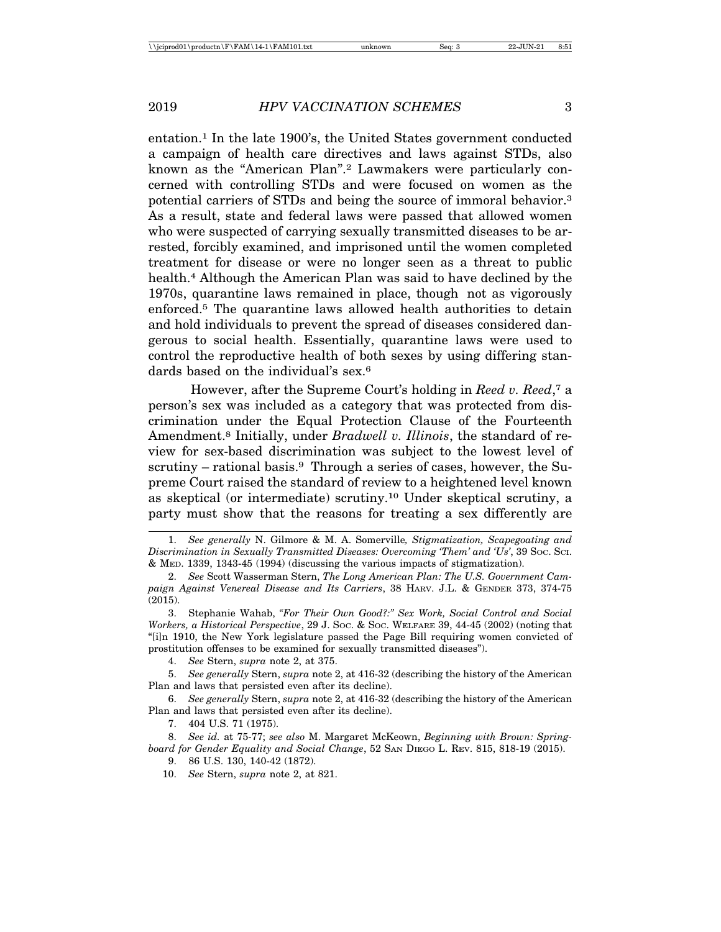entation.1 In the late 1900's, the United States government conducted a campaign of health care directives and laws against STDs, also known as the "American Plan".2 Lawmakers were particularly concerned with controlling STDs and were focused on women as the potential carriers of STDs and being the source of immoral behavior.3 As a result, state and federal laws were passed that allowed women who were suspected of carrying sexually transmitted diseases to be arrested, forcibly examined, and imprisoned until the women completed treatment for disease or were no longer seen as a threat to public health.<sup>4</sup> Although the American Plan was said to have declined by the 1970s, quarantine laws remained in place, though not as vigorously enforced.5 The quarantine laws allowed health authorities to detain and hold individuals to prevent the spread of diseases considered dangerous to social health. Essentially, quarantine laws were used to control the reproductive health of both sexes by using differing standards based on the individual's sex.<sup>6</sup>

However, after the Supreme Court's holding in *Reed v. Reed*,7 a person's sex was included as a category that was protected from discrimination under the Equal Protection Clause of the Fourteenth Amendment.8 Initially, under *Bradwell v. Illinois*, the standard of review for sex-based discrimination was subject to the lowest level of scrutiny – rational basis.9 Through a series of cases, however, the Supreme Court raised the standard of review to a heightened level known as skeptical (or intermediate) scrutiny.10 Under skeptical scrutiny, a party must show that the reasons for treating a sex differently are

4. *See* Stern, *supra* note 2, at 375.

5. *See generally* Stern, *supra* note 2, at 416-32 (describing the history of the American Plan and laws that persisted even after its decline).

6. *See generally* Stern, *supra* note 2, at 416-32 (describing the history of the American Plan and laws that persisted even after its decline).

7. 404 U.S. 71 (1975).

8. *See id.* at 75-77; *see also* M. Margaret McKeown, *Beginning with Brown: Springboard for Gender Equality and Social Change*, 52 SAN DIEGO L. REV. 815, 818-19 (2015).

9. 86 U.S. 130, 140-42 (1872).

10. *See* Stern, *supra* note 2, at 821.

<sup>1.</sup> *See generally* N. Gilmore & M. A. Somerville*, Stigmatization, Scapegoating and Discrimination in Sexually Transmitted Diseases: Overcoming 'Them' and 'Us'*, 39 SOC. SCI. & MED. 1339, 1343-45 (1994) (discussing the various impacts of stigmatization).

<sup>2.</sup> *See* Scott Wasserman Stern, *The Long American Plan: The U.S. Government Campaign Against Venereal Disease and Its Carriers*, 38 HARV. J.L. & GENDER 373, 374-75 (2015).

<sup>3.</sup> Stephanie Wahab, *"For Their Own Good?:" Sex Work, Social Control and Social Workers, a Historical Perspective*, 29 J. SOC. & SOC. WELFARE 39, 44-45 (2002) (noting that "[i]n 1910, the New York legislature passed the Page Bill requiring women convicted of prostitution offenses to be examined for sexually transmitted diseases").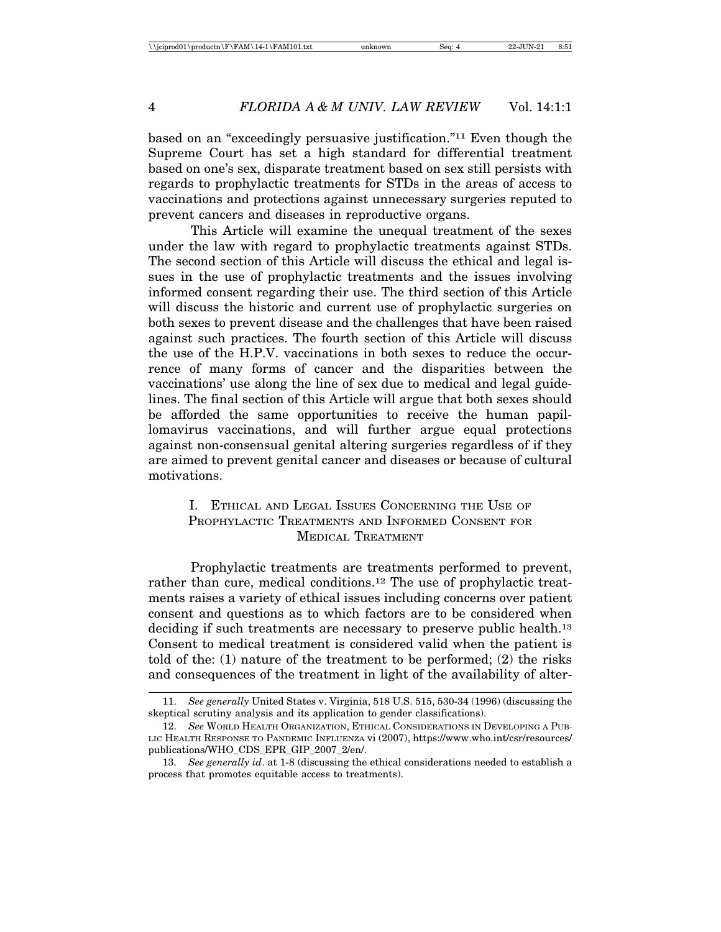based on an "exceedingly persuasive justification."11 Even though the Supreme Court has set a high standard for differential treatment based on one's sex, disparate treatment based on sex still persists with regards to prophylactic treatments for STDs in the areas of access to vaccinations and protections against unnecessary surgeries reputed to prevent cancers and diseases in reproductive organs.

This Article will examine the unequal treatment of the sexes under the law with regard to prophylactic treatments against STDs. The second section of this Article will discuss the ethical and legal issues in the use of prophylactic treatments and the issues involving informed consent regarding their use. The third section of this Article will discuss the historic and current use of prophylactic surgeries on both sexes to prevent disease and the challenges that have been raised against such practices. The fourth section of this Article will discuss the use of the H.P.V. vaccinations in both sexes to reduce the occurrence of many forms of cancer and the disparities between the vaccinations' use along the line of sex due to medical and legal guidelines. The final section of this Article will argue that both sexes should be afforded the same opportunities to receive the human papillomavirus vaccinations, and will further argue equal protections against non-consensual genital altering surgeries regardless of if they are aimed to prevent genital cancer and diseases or because of cultural motivations.

# I. ETHICAL AND LEGAL ISSUES CONCERNING THE USE OF PROPHYLACTIC TREATMENTS AND INFORMED CONSENT FOR MEDICAL TREATMENT

Prophylactic treatments are treatments performed to prevent, rather than cure, medical conditions.12 The use of prophylactic treatments raises a variety of ethical issues including concerns over patient consent and questions as to which factors are to be considered when deciding if such treatments are necessary to preserve public health.13 Consent to medical treatment is considered valid when the patient is told of the: (1) nature of the treatment to be performed; (2) the risks and consequences of the treatment in light of the availability of alter-

<sup>11.</sup> *See generally* United States v. Virginia, 518 U.S. 515, 530-34 (1996) (discussing the skeptical scrutiny analysis and its application to gender classifications).

<sup>12.</sup> *See* WORLD HEALTH ORGANIZATION, ETHICAL CONSIDERATIONS IN DEVELOPING A PUB-LIC HEALTH RESPONSE TO PANDEMIC INFLUENZA vi (2007), https://www.who.int/csr/resources/ publications/WHO\_CDS\_EPR\_GIP\_2007\_2/en/.

<sup>13.</sup> *See generally id*. at 1-8 (discussing the ethical considerations needed to establish a process that promotes equitable access to treatments).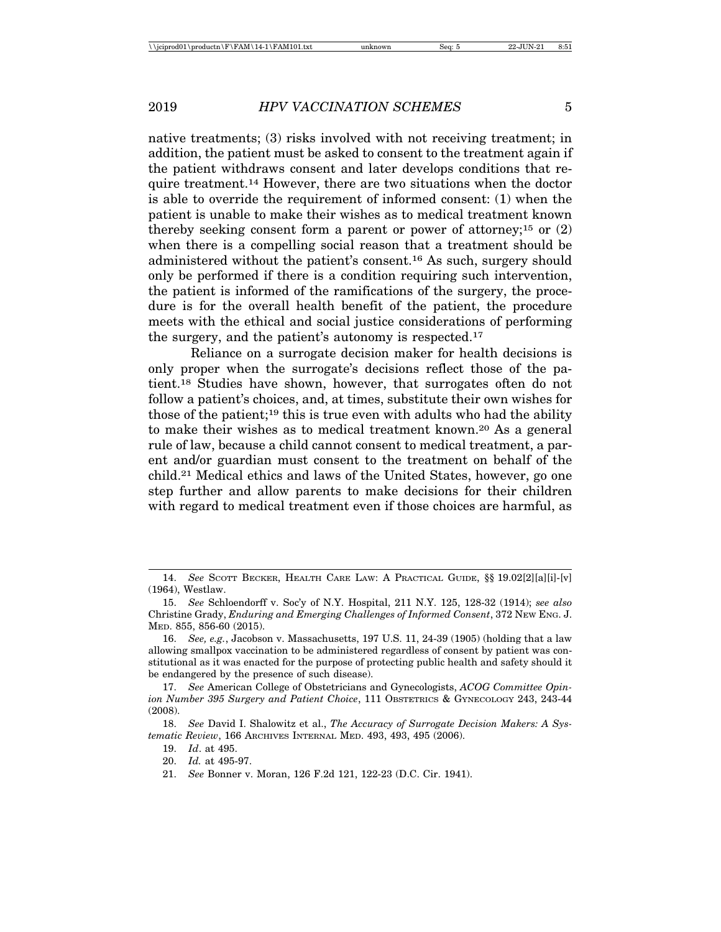native treatments; (3) risks involved with not receiving treatment; in addition, the patient must be asked to consent to the treatment again if the patient withdraws consent and later develops conditions that require treatment.14 However, there are two situations when the doctor is able to override the requirement of informed consent: (1) when the patient is unable to make their wishes as to medical treatment known thereby seeking consent form a parent or power of attorney;<sup>15</sup> or  $(2)$ when there is a compelling social reason that a treatment should be administered without the patient's consent.16 As such, surgery should only be performed if there is a condition requiring such intervention, the patient is informed of the ramifications of the surgery, the procedure is for the overall health benefit of the patient, the procedure meets with the ethical and social justice considerations of performing the surgery, and the patient's autonomy is respected.17

Reliance on a surrogate decision maker for health decisions is only proper when the surrogate's decisions reflect those of the patient.18 Studies have shown, however, that surrogates often do not follow a patient's choices, and, at times, substitute their own wishes for those of the patient;19 this is true even with adults who had the ability to make their wishes as to medical treatment known.20 As a general rule of law, because a child cannot consent to medical treatment, a parent and/or guardian must consent to the treatment on behalf of the child.21 Medical ethics and laws of the United States, however, go one step further and allow parents to make decisions for their children with regard to medical treatment even if those choices are harmful, as

<sup>14.</sup> See SCOTT BECKER, HEALTH CARE LAW: A PRACTICAL GUIDE, §§ 19.02[2][a][i]-[v] (1964), Westlaw.

<sup>15.</sup> *See* Schloendorff v. Soc'y of N.Y. Hospital, 211 N.Y. 125, 128-32 (1914); *see also* Christine Grady, *Enduring and Emerging Challenges of Informed Consent*, 372 NEW ENG. J. MED. 855, 856-60 (2015).

<sup>16.</sup> *See, e.g.*, Jacobson v. Massachusetts, 197 U.S. 11, 24-39 (1905) (holding that a law allowing smallpox vaccination to be administered regardless of consent by patient was constitutional as it was enacted for the purpose of protecting public health and safety should it be endangered by the presence of such disease).

<sup>17.</sup> *See* American College of Obstetricians and Gynecologists, *ACOG Committee Opinion Number 395 Surgery and Patient Choice*, 111 OBSTETRICS & GYNECOLOGY 243, 243-44 (2008).

<sup>18.</sup> *See* David I. Shalowitz et al., *The Accuracy of Surrogate Decision Makers: A Systematic Review*, 166 ARCHIVES INTERNAL MED. 493, 493, 495 (2006).

<sup>19.</sup> *Id*. at 495.

<sup>20.</sup> *Id.* at 495-97.

<sup>21.</sup> *See* Bonner v. Moran, 126 F.2d 121, 122-23 (D.C. Cir. 1941).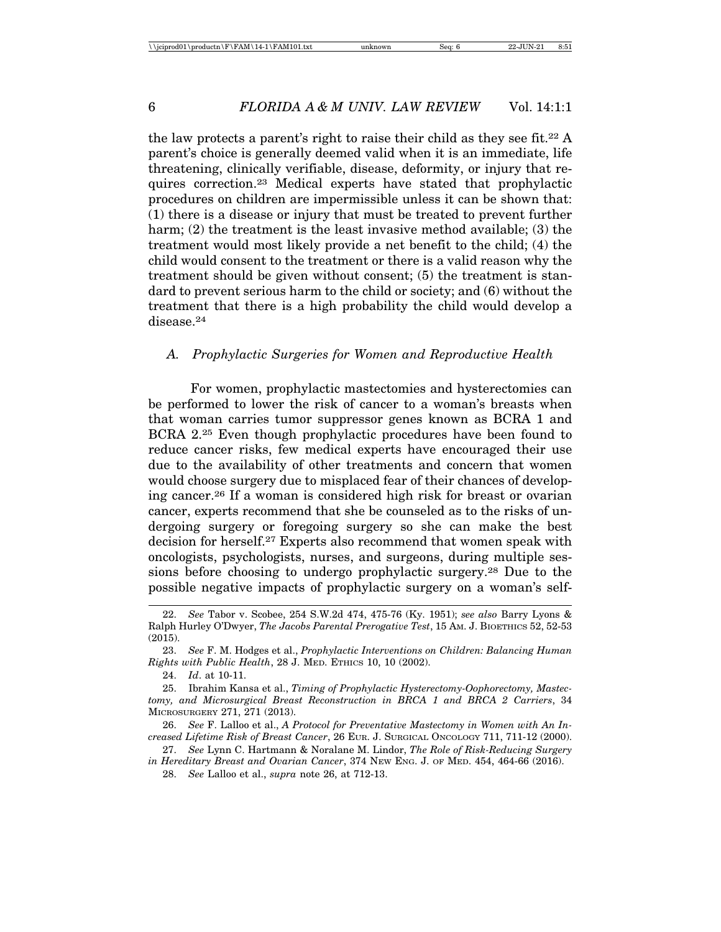the law protects a parent's right to raise their child as they see fit.22 A parent's choice is generally deemed valid when it is an immediate, life threatening, clinically verifiable, disease, deformity, or injury that requires correction.23 Medical experts have stated that prophylactic procedures on children are impermissible unless it can be shown that: (1) there is a disease or injury that must be treated to prevent further harm; (2) the treatment is the least invasive method available; (3) the treatment would most likely provide a net benefit to the child; (4) the child would consent to the treatment or there is a valid reason why the treatment should be given without consent; (5) the treatment is standard to prevent serious harm to the child or society; and (6) without the treatment that there is a high probability the child would develop a disease.<sup>24</sup>

### *A. Prophylactic Surgeries for Women and Reproductive Health*

For women, prophylactic mastectomies and hysterectomies can be performed to lower the risk of cancer to a woman's breasts when that woman carries tumor suppressor genes known as BCRA 1 and BCRA 2.25 Even though prophylactic procedures have been found to reduce cancer risks, few medical experts have encouraged their use due to the availability of other treatments and concern that women would choose surgery due to misplaced fear of their chances of developing cancer.26 If a woman is considered high risk for breast or ovarian cancer, experts recommend that she be counseled as to the risks of undergoing surgery or foregoing surgery so she can make the best decision for herself.27 Experts also recommend that women speak with oncologists, psychologists, nurses, and surgeons, during multiple sessions before choosing to undergo prophylactic surgery.28 Due to the possible negative impacts of prophylactic surgery on a woman's self-

<sup>22.</sup> *See* Tabor v. Scobee, 254 S.W.2d 474, 475-76 (Ky. 1951); *see also* Barry Lyons & Ralph Hurley O'Dwyer, *The Jacobs Parental Prerogative Test*, 15 AM. J. BIOETHICS 52, 52-53 (2015).

<sup>23.</sup> *See* F. M. Hodges et al., *Prophylactic Interventions on Children: Balancing Human Rights with Public Health*, 28 J. MED. ETHICS 10, 10 (2002).

<sup>24.</sup> *Id*. at 10-11.

<sup>25.</sup> Ibrahim Kansa et al., *Timing of Prophylactic Hysterectomy-Oophorectomy, Mastectomy, and Microsurgical Breast Reconstruction in BRCA 1 and BRCA 2 Carriers*, 34 MICROSURGERY 271, 271 (2013).

<sup>26.</sup> *See* F. Lalloo et al., *A Protocol for Preventative Mastectomy in Women with An Increased Lifetime Risk of Breast Cancer*, 26 EUR. J. SURGICAL ONCOLOGY 711, 711-12 (2000).

<sup>27.</sup> *See* Lynn C. Hartmann & Noralane M. Lindor, *The Role of Risk-Reducing Surgery in Hereditary Breast and Ovarian Cancer*, 374 NEW ENG. J. OF MED. 454, 464-66 (2016).

<sup>28.</sup> *See* Lalloo et al., *supra* note 26, at 712-13.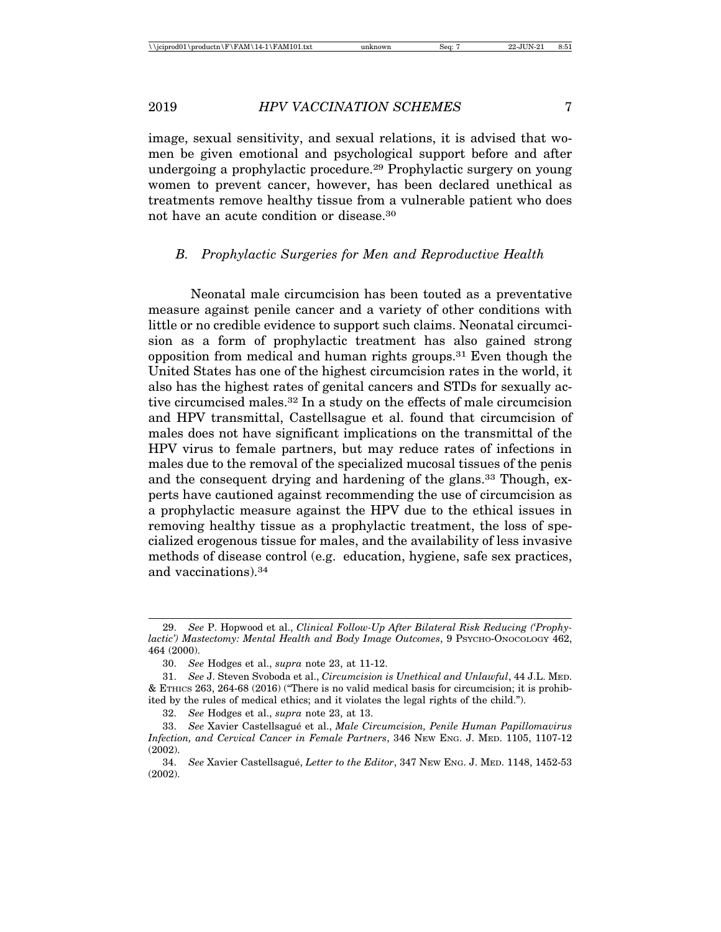image, sexual sensitivity, and sexual relations, it is advised that women be given emotional and psychological support before and after undergoing a prophylactic procedure.29 Prophylactic surgery on young women to prevent cancer, however, has been declared unethical as treatments remove healthy tissue from a vulnerable patient who does not have an acute condition or disease.30

### *B. Prophylactic Surgeries for Men and Reproductive Health*

Neonatal male circumcision has been touted as a preventative measure against penile cancer and a variety of other conditions with little or no credible evidence to support such claims. Neonatal circumcision as a form of prophylactic treatment has also gained strong opposition from medical and human rights groups.31 Even though the United States has one of the highest circumcision rates in the world, it also has the highest rates of genital cancers and STDs for sexually active circumcised males.32 In a study on the effects of male circumcision and HPV transmittal, Castellsague et al. found that circumcision of males does not have significant implications on the transmittal of the HPV virus to female partners, but may reduce rates of infections in males due to the removal of the specialized mucosal tissues of the penis and the consequent drying and hardening of the glans.<sup>33</sup> Though, experts have cautioned against recommending the use of circumcision as a prophylactic measure against the HPV due to the ethical issues in removing healthy tissue as a prophylactic treatment, the loss of specialized erogenous tissue for males, and the availability of less invasive methods of disease control (e.g. education, hygiene, safe sex practices, and vaccinations).34

<sup>29.</sup> *See* P. Hopwood et al., *Clinical Follow-Up After Bilateral Risk Reducing ('Prophylactic'*) Mastectomy: Mental Health and Body Image Outcomes, 9 PSYCHO-ONOCOLOGY 462, 464 (2000).

<sup>30.</sup> *See* Hodges et al., *supra* note 23, at 11-12.

<sup>31.</sup> *See* J. Steven Svoboda et al., *Circumcision is Unethical and Unlawful*, 44 J.L. MED. & ETHICS 263, 264-68 (2016) ("There is no valid medical basis for circumcision; it is prohibited by the rules of medical ethics; and it violates the legal rights of the child.").

<sup>32.</sup> *See* Hodges et al., *supra* note 23, at 13.

<sup>33.</sup> *See* Xavier Castellsagu´e et al., *Male Circumcision, Penile Human Papillomavirus Infection, and Cervical Cancer in Female Partners*, 346 NEW ENG. J. MED. 1105, 1107-12  $(2002)$ 

<sup>34.</sup> *See* Xavier Castellsagu´e, *Letter to the Editor*, 347 NEW ENG. J. MED. 1148, 1452-53 (2002).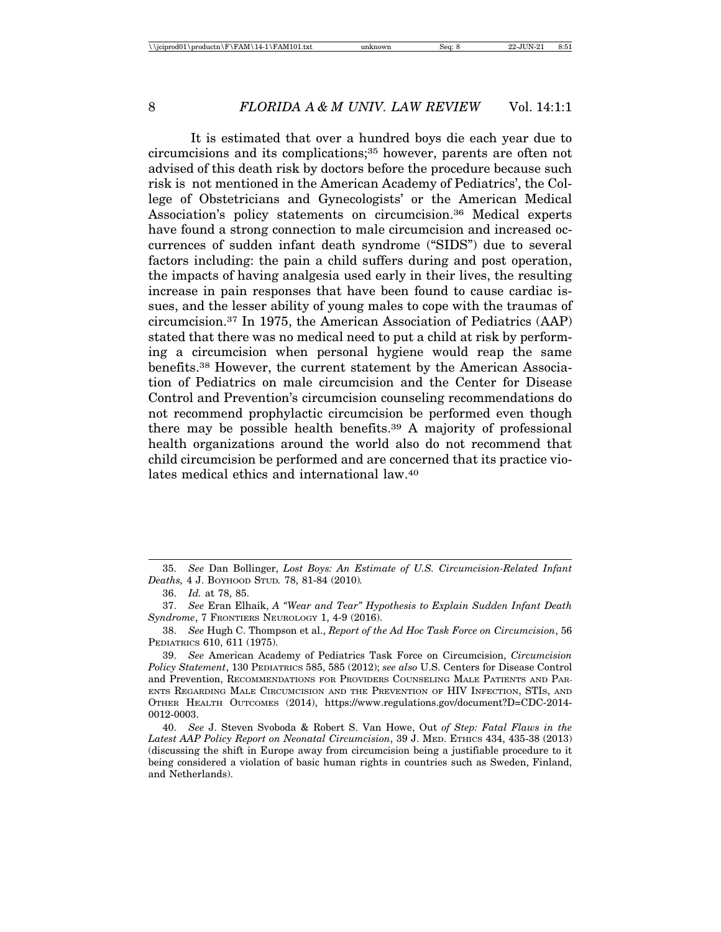It is estimated that over a hundred boys die each year due to circumcisions and its complications;35 however, parents are often not advised of this death risk by doctors before the procedure because such risk is not mentioned in the American Academy of Pediatrics', the College of Obstetricians and Gynecologists' or the American Medical Association's policy statements on circumcision.36 Medical experts have found a strong connection to male circumcision and increased occurrences of sudden infant death syndrome ("SIDS") due to several factors including: the pain a child suffers during and post operation, the impacts of having analgesia used early in their lives, the resulting increase in pain responses that have been found to cause cardiac issues, and the lesser ability of young males to cope with the traumas of circumcision.37 In 1975, the American Association of Pediatrics (AAP) stated that there was no medical need to put a child at risk by performing a circumcision when personal hygiene would reap the same benefits.38 However, the current statement by the American Association of Pediatrics on male circumcision and the Center for Disease Control and Prevention's circumcision counseling recommendations do not recommend prophylactic circumcision be performed even though there may be possible health benefits.39 A majority of professional health organizations around the world also do not recommend that child circumcision be performed and are concerned that its practice violates medical ethics and international law.40

<sup>35.</sup> *See* Dan Bollinger, *Lost Boys: An Estimate of U.S. Circumcision-Related Infant Deaths,* 4 J. BOYHOOD STUD*.* 78, 81-84 (2010)*.*

<sup>36.</sup> *Id.* at 78, 85.

<sup>37.</sup> *See* Eran Elhaik, *A "Wear and Tear" Hypothesis to Explain Sudden Infant Death* Syndrome, 7 FRONTIERS NEUROLOGY 1, 4-9 (2016).

<sup>38.</sup> *See* Hugh C. Thompson et al., *Report of the Ad Hoc Task Force on Circumcision*, 56 PEDIATRICS 610, 611 (1975).

<sup>39.</sup> *See* American Academy of Pediatrics Task Force on Circumcision, *Circumcision Policy Statement*, 130 PEDIATRICS 585, 585 (2012); *see also* U.S. Centers for Disease Control and Prevention, RECOMMENDATIONS FOR PROVIDERS COUNSELING MALE PATIENTS AND PAR-ENTS REGARDING MALE CIRCUMCISION AND THE PREVENTION OF HIV INFECTION, STIS, AND OTHER HEALTH OUTCOMES (2014), https://www.regulations.gov/document?D=CDC-2014- 0012-0003.

<sup>40.</sup> *See* J. Steven Svoboda & Robert S. Van Howe, Out *of Step: Fatal Flaws in the Latest AAP Policy Report on Neonatal Circumcision*, 39 J. MED. ETHICS 434, 435-38 (2013) (discussing the shift in Europe away from circumcision being a justifiable procedure to it being considered a violation of basic human rights in countries such as Sweden, Finland, and Netherlands).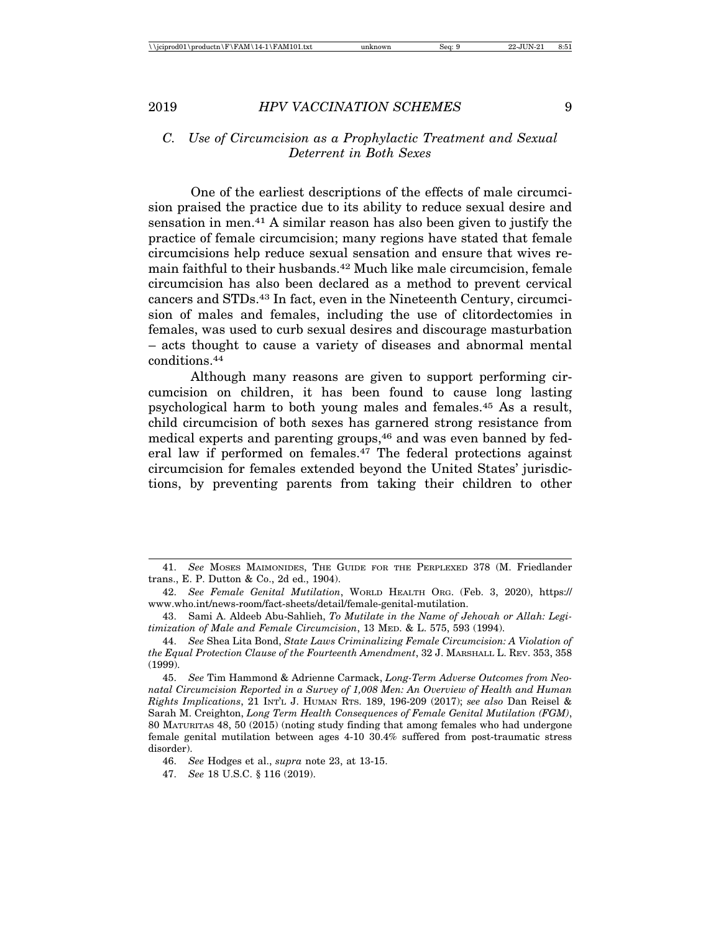## *C. Use of Circumcision as a Prophylactic Treatment and Sexual Deterrent in Both Sexes*

One of the earliest descriptions of the effects of male circumcision praised the practice due to its ability to reduce sexual desire and sensation in men.41 A similar reason has also been given to justify the practice of female circumcision; many regions have stated that female circumcisions help reduce sexual sensation and ensure that wives remain faithful to their husbands.42 Much like male circumcision, female circumcision has also been declared as a method to prevent cervical cancers and STDs.43 In fact, even in the Nineteenth Century, circumcision of males and females, including the use of clitordectomies in females, was used to curb sexual desires and discourage masturbation – acts thought to cause a variety of diseases and abnormal mental conditions.44

Although many reasons are given to support performing circumcision on children, it has been found to cause long lasting psychological harm to both young males and females.45 As a result, child circumcision of both sexes has garnered strong resistance from medical experts and parenting groups,<sup>46</sup> and was even banned by federal law if performed on females.47 The federal protections against circumcision for females extended beyond the United States' jurisdictions, by preventing parents from taking their children to other

<sup>41.</sup> *See* MOSES MAIMONIDES, THE GUIDE FOR THE PERPLEXED 378 (M. Friedlander trans., E. P. Dutton & Co., 2d ed., 1904).

<sup>42.</sup> *See Female Genital Mutilation*, WORLD HEALTH ORG. (Feb. 3, 2020), https:// www.who.int/news-room/fact-sheets/detail/female-genital-mutilation.

<sup>43.</sup> Sami A. Aldeeb Abu-Sahlieh, *To Mutilate in the Name of Jehovah or Allah: Legitimization of Male and Female Circumcision*, 13 MED. & L. 575, 593 (1994).

<sup>44.</sup> *See* Shea Lita Bond, *State Laws Criminalizing Female Circumcision: A Violation of the Equal Protection Clause of the Fourteenth Amendment*, 32 J. MARSHALL L. REV. 353, 358 (1999).

<sup>45.</sup> *See* Tim Hammond & Adrienne Carmack, *Long-Term Adverse Outcomes from Neonatal Circumcision Reported in a Survey of 1,008 Men: An Overview of Health and Human Rights Implications*, 21 INT'L J. HUMAN RTS. 189, 196-209 (2017); *see also* Dan Reisel & Sarah M. Creighton, *Long Term Health Consequences of Female Genital Mutilation (FGM)*, 80 MATURITAS 48, 50 (2015) (noting study finding that among females who had undergone female genital mutilation between ages 4-10 30.4% suffered from post-traumatic stress disorder).

<sup>46.</sup> *See* Hodges et al., *supra* note 23, at 13-15.

<sup>47.</sup> *See* 18 U.S.C. § 116 (2019).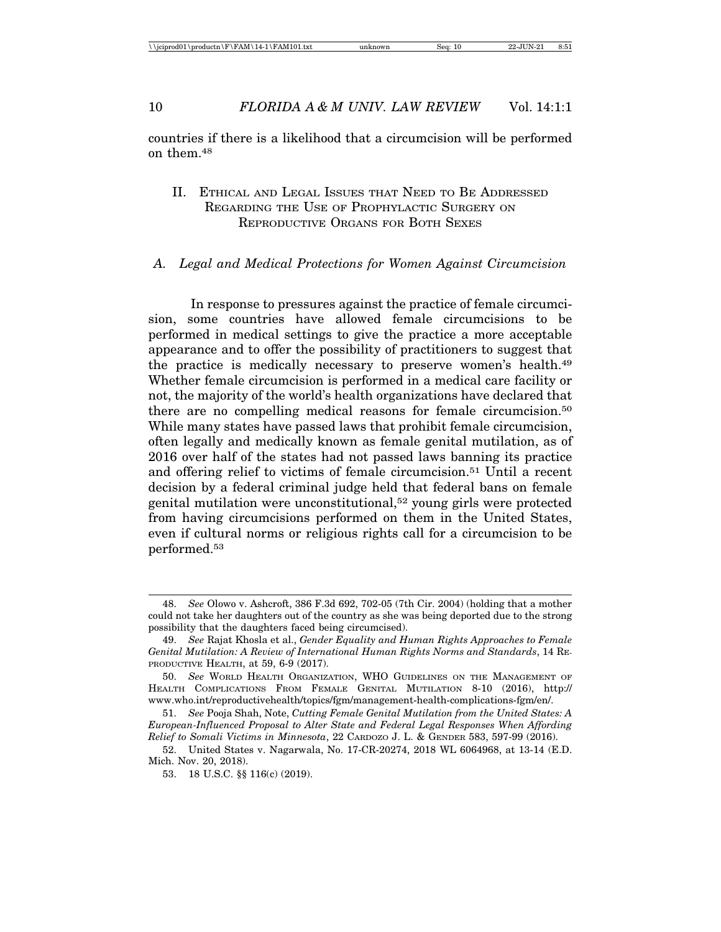countries if there is a likelihood that a circumcision will be performed on them.48

# II. ETHICAL AND LEGAL ISSUES THAT NEED TO BE ADDRESSED REGARDING THE USE OF PROPHYLACTIC SURGERY ON REPRODUCTIVE ORGANS FOR BOTH SEXES

### *A. Legal and Medical Protections for Women Against Circumcision*

In response to pressures against the practice of female circumcision, some countries have allowed female circumcisions to be performed in medical settings to give the practice a more acceptable appearance and to offer the possibility of practitioners to suggest that the practice is medically necessary to preserve women's health.49 Whether female circumcision is performed in a medical care facility or not, the majority of the world's health organizations have declared that there are no compelling medical reasons for female circumcision.50 While many states have passed laws that prohibit female circumcision, often legally and medically known as female genital mutilation, as of 2016 over half of the states had not passed laws banning its practice and offering relief to victims of female circumcision.51 Until a recent decision by a federal criminal judge held that federal bans on female genital mutilation were unconstitutional,52 young girls were protected from having circumcisions performed on them in the United States, even if cultural norms or religious rights call for a circumcision to be performed.53

<sup>48.</sup> *See* Olowo v. Ashcroft, 386 F.3d 692, 702-05 (7th Cir. 2004) (holding that a mother could not take her daughters out of the country as she was being deported due to the strong possibility that the daughters faced being circumcised).

<sup>49.</sup> *See* Rajat Khosla et al., *Gender Equality and Human Rights Approaches to Female Genital Mutilation: A Review of International Human Rights Norms and Standards*, 14 RE-PRODUCTIVE HEALTH, at 59, 6-9 (2017).

<sup>50.</sup> *See* WORLD HEALTH ORGANIZATION, WHO GUIDELINES ON THE MANAGEMENT OF HEALTH COMPLICATIONS FROM FEMALE GENITAL MUTILATION 8-10 (2016), http:// www.who.int/reproductivehealth/topics/fgm/management-health-complications-fgm/en/.

<sup>51.</sup> *See* Pooja Shah, Note, *Cutting Female Genital Mutilation from the United States: A European-Influenced Proposal to Alter State and Federal Legal Responses When Affording Relief to Somali Victims in Minnesota*, 22 CARDOZO J. L. & GENDER 583, 597-99 (2016).

<sup>52.</sup> United States v. Nagarwala, No. 17-CR-20274, 2018 WL 6064968, at 13-14 (E.D. Mich. Nov. 20, 2018).

<sup>53. 18</sup> U.S.C. §§ 116(c) (2019).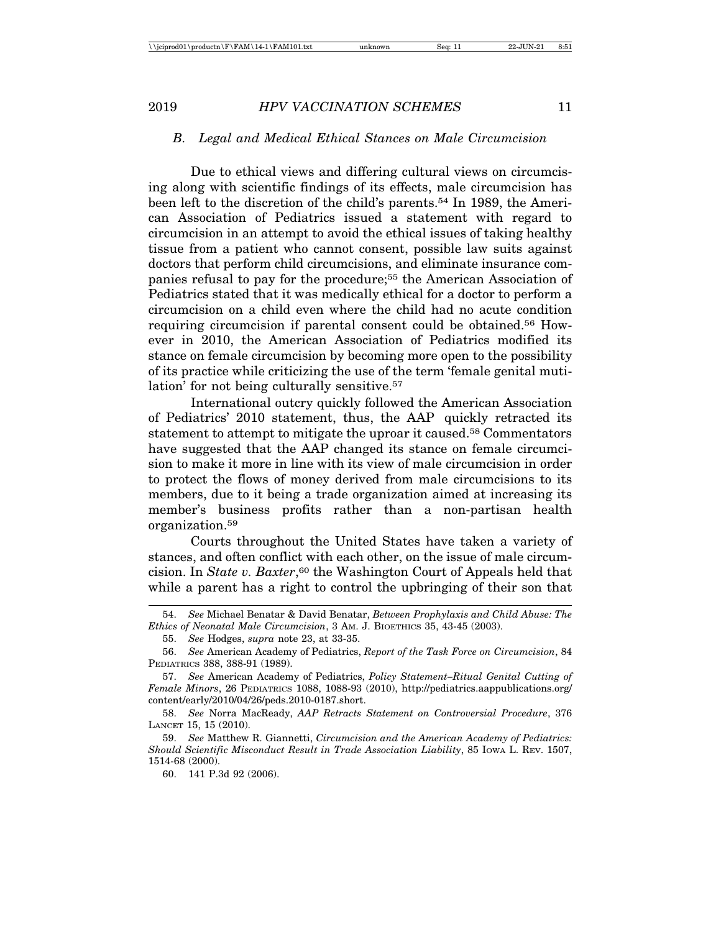# *B. Legal and Medical Ethical Stances on Male Circumcision*

Due to ethical views and differing cultural views on circumcising along with scientific findings of its effects, male circumcision has been left to the discretion of the child's parents.54 In 1989, the American Association of Pediatrics issued a statement with regard to circumcision in an attempt to avoid the ethical issues of taking healthy tissue from a patient who cannot consent, possible law suits against doctors that perform child circumcisions, and eliminate insurance companies refusal to pay for the procedure;55 the American Association of Pediatrics stated that it was medically ethical for a doctor to perform a circumcision on a child even where the child had no acute condition requiring circumcision if parental consent could be obtained.56 However in 2010, the American Association of Pediatrics modified its stance on female circumcision by becoming more open to the possibility of its practice while criticizing the use of the term 'female genital mutilation' for not being culturally sensitive.<sup>57</sup>

International outcry quickly followed the American Association of Pediatrics' 2010 statement, thus, the AAP quickly retracted its statement to attempt to mitigate the uproar it caused.58 Commentators have suggested that the AAP changed its stance on female circumcision to make it more in line with its view of male circumcision in order to protect the flows of money derived from male circumcisions to its members, due to it being a trade organization aimed at increasing its member's business profits rather than a non-partisan health organization.59

Courts throughout the United States have taken a variety of stances, and often conflict with each other, on the issue of male circumcision. In *State v. Baxter*,60 the Washington Court of Appeals held that while a parent has a right to control the upbringing of their son that

<sup>54.</sup> *See* Michael Benatar & David Benatar, *Between Prophylaxis and Child Abuse: The Ethics of Neonatal Male Circumcision*, 3 AM. J. BIOETHICS 35, 43-45 (2003).

<sup>55.</sup> *See* Hodges, *supra* note 23, at 33-35.

<sup>56.</sup> *See* American Academy of Pediatrics, *Report of the Task Force on Circumcision*, 84 PEDIATRICS 388, 388-91 (1989).

<sup>57.</sup> *See* American Academy of Pediatrics, *Policy Statement–Ritual Genital Cutting of Female Minors*, 26 PEDIATRICS 1088, 1088-93 (2010), http://pediatrics.aappublications.org/ content/early/2010/04/26/peds.2010-0187.short.

<sup>58.</sup> *See* Norra MacReady, *AAP Retracts Statement on Controversial Procedure*, 376 LANCET 15, 15 (2010).

<sup>59.</sup> *See* Matthew R. Giannetti, *Circumcision and the American Academy of Pediatrics: Should Scientific Misconduct Result in Trade Association Liability*, 85 IOWA L. REV. 1507, 1514-68 (2000).

<sup>60. 141</sup> P.3d 92 (2006).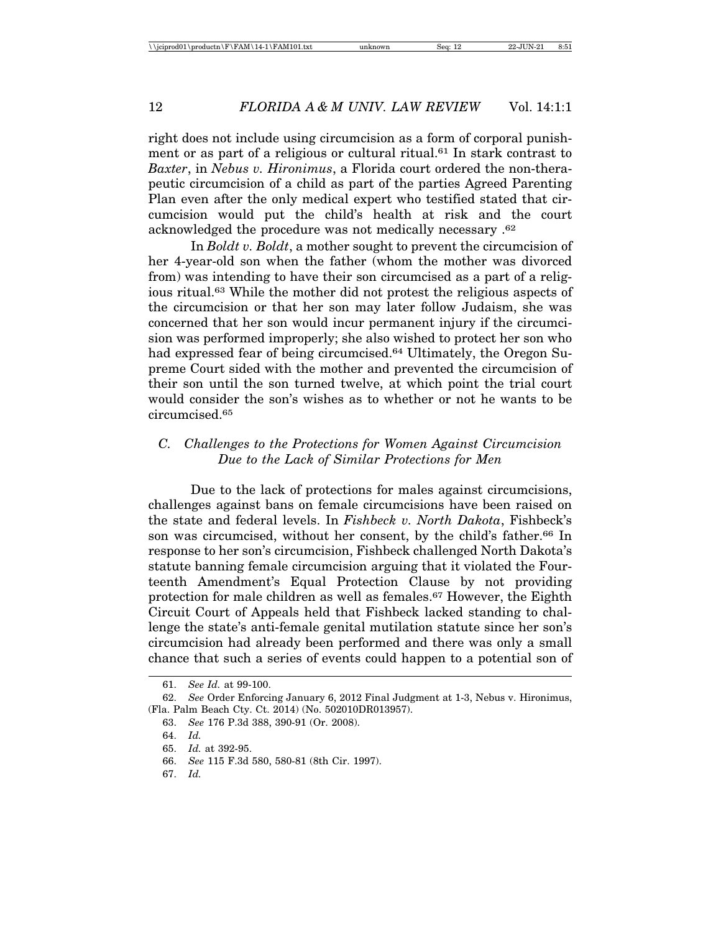right does not include using circumcision as a form of corporal punishment or as part of a religious or cultural ritual.<sup>61</sup> In stark contrast to *Baxter*, in *Nebus v. Hironimus*, a Florida court ordered the non-therapeutic circumcision of a child as part of the parties Agreed Parenting Plan even after the only medical expert who testified stated that circumcision would put the child's health at risk and the court acknowledged the procedure was not medically necessary .62

In *Boldt v. Boldt*, a mother sought to prevent the circumcision of her 4-year-old son when the father (whom the mother was divorced from) was intending to have their son circumcised as a part of a religious ritual.63 While the mother did not protest the religious aspects of the circumcision or that her son may later follow Judaism, she was concerned that her son would incur permanent injury if the circumcision was performed improperly; she also wished to protect her son who had expressed fear of being circumcised.<sup>64</sup> Ultimately, the Oregon Supreme Court sided with the mother and prevented the circumcision of their son until the son turned twelve, at which point the trial court would consider the son's wishes as to whether or not he wants to be circumcised.65

# *C. Challenges to the Protections for Women Against Circumcision Due to the Lack of Similar Protections for Men*

Due to the lack of protections for males against circumcisions, challenges against bans on female circumcisions have been raised on the state and federal levels. In *Fishbeck v. North Dakota*, Fishbeck's son was circumcised, without her consent, by the child's father.<sup>66</sup> In response to her son's circumcision, Fishbeck challenged North Dakota's statute banning female circumcision arguing that it violated the Fourteenth Amendment's Equal Protection Clause by not providing protection for male children as well as females.67 However, the Eighth Circuit Court of Appeals held that Fishbeck lacked standing to challenge the state's anti-female genital mutilation statute since her son's circumcision had already been performed and there was only a small chance that such a series of events could happen to a potential son of

<sup>61.</sup> *See Id.* at 99-100.

<sup>62.</sup> *See* Order Enforcing January 6, 2012 Final Judgment at 1-3, Nebus v. Hironimus, (Fla. Palm Beach Cty. Ct. 2014) (No. 502010DR013957).

<sup>63.</sup> *See* 176 P.3d 388, 390-91 (Or. 2008).

<sup>64.</sup> *Id.*

<sup>65.</sup> *Id.* at 392-95.

<sup>66.</sup> *See* 115 F.3d 580, 580-81 (8th Cir. 1997).

<sup>67.</sup> *Id.*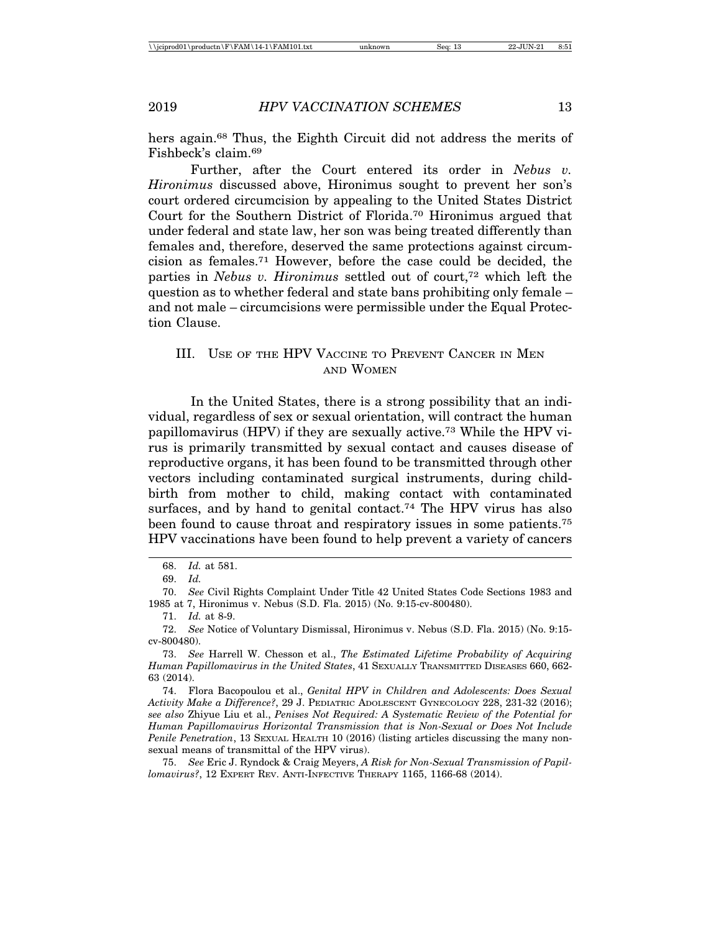hers again.<sup>68</sup> Thus, the Eighth Circuit did not address the merits of Fishbeck's claim.69

Further, after the Court entered its order in *Nebus v. Hironimus* discussed above, Hironimus sought to prevent her son's court ordered circumcision by appealing to the United States District Court for the Southern District of Florida.70 Hironimus argued that under federal and state law, her son was being treated differently than females and, therefore, deserved the same protections against circumcision as females.71 However, before the case could be decided, the parties in *Nebus v. Hironimus* settled out of court,72 which left the question as to whether federal and state bans prohibiting only female – and not male – circumcisions were permissible under the Equal Protection Clause.

# III. USE OF THE HPV VACCINE TO PREVENT CANCER IN MEN AND WOMEN

In the United States, there is a strong possibility that an individual, regardless of sex or sexual orientation, will contract the human papillomavirus (HPV) if they are sexually active.73 While the HPV virus is primarily transmitted by sexual contact and causes disease of reproductive organs, it has been found to be transmitted through other vectors including contaminated surgical instruments, during childbirth from mother to child, making contact with contaminated surfaces, and by hand to genital contact.<sup>74</sup> The HPV virus has also been found to cause throat and respiratory issues in some patients.75 HPV vaccinations have been found to help prevent a variety of cancers

75. *See* Eric J. Ryndock & Craig Meyers, *A Risk for Non-Sexual Transmission of Papillomavirus?*, 12 EXPERT REV. ANTI-INFECTIVE THERAPY 1165, 1166-68 (2014).

<sup>68.</sup> *Id.* at 581.

<sup>69.</sup> *Id.*

<sup>70.</sup> *See* Civil Rights Complaint Under Title 42 United States Code Sections 1983 and 1985 at 7, Hironimus v. Nebus (S.D. Fla. 2015) (No. 9:15-cv-800480).

<sup>71.</sup> *Id.* at 8-9.

<sup>72.</sup> *See* Notice of Voluntary Dismissal, Hironimus v. Nebus (S.D. Fla. 2015) (No. 9:15 cv-800480).

<sup>73.</sup> *See* Harrell W. Chesson et al., *The Estimated Lifetime Probability of Acquiring Human Papillomavirus in the United States*, 41 SEXUALLY TRANSMITTED DISEASES 660, 662- 63 (2014).

<sup>74.</sup> Flora Bacopoulou et al., *Genital HPV in Children and Adolescents: Does Sexual Activity Make a Difference?*, 29 J. PEDIATRIC ADOLESCENT GYNECOLOGY 228, 231-32 (2016); *see also* Zhiyue Liu et al., *Penises Not Required: A Systematic Review of the Potential for Human Papillomavirus Horizontal Transmission that is Non-Sexual or Does Not Include Penile Penetration*, 13 SEXUAL HEALTH 10 (2016) (listing articles discussing the many nonsexual means of transmittal of the HPV virus).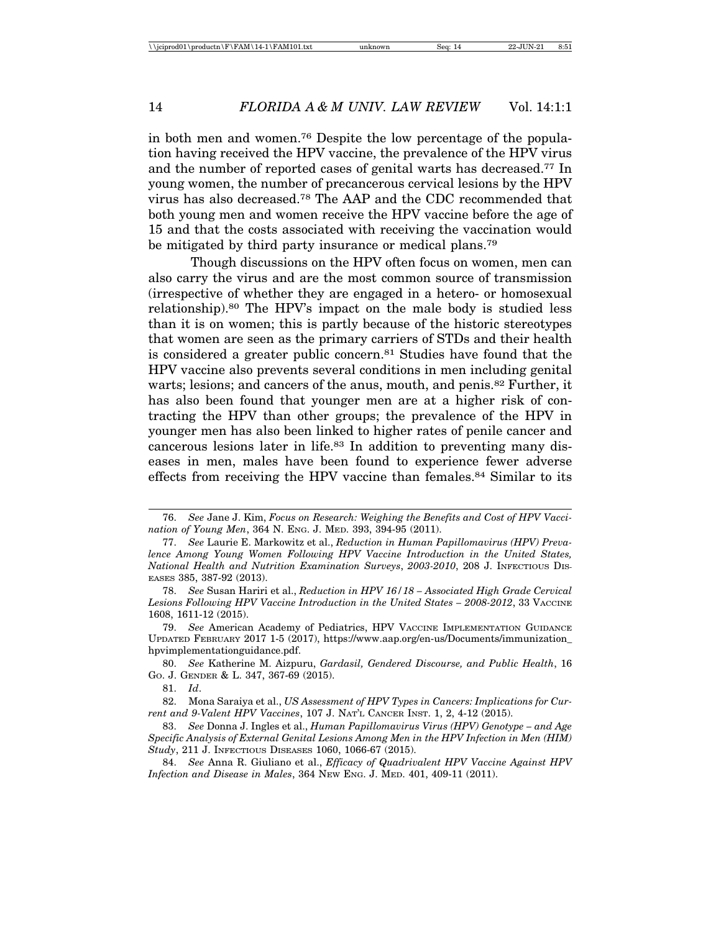in both men and women.76 Despite the low percentage of the population having received the HPV vaccine, the prevalence of the HPV virus and the number of reported cases of genital warts has decreased.77 In young women, the number of precancerous cervical lesions by the HPV virus has also decreased.78 The AAP and the CDC recommended that both young men and women receive the HPV vaccine before the age of 15 and that the costs associated with receiving the vaccination would be mitigated by third party insurance or medical plans.79

Though discussions on the HPV often focus on women, men can also carry the virus and are the most common source of transmission (irrespective of whether they are engaged in a hetero- or homosexual relationship).80 The HPV's impact on the male body is studied less than it is on women; this is partly because of the historic stereotypes that women are seen as the primary carriers of STDs and their health is considered a greater public concern.81 Studies have found that the HPV vaccine also prevents several conditions in men including genital warts; lesions; and cancers of the anus, mouth, and penis.<sup>82</sup> Further, it has also been found that younger men are at a higher risk of contracting the HPV than other groups; the prevalence of the HPV in younger men has also been linked to higher rates of penile cancer and cancerous lesions later in life.83 In addition to preventing many diseases in men, males have been found to experience fewer adverse effects from receiving the HPV vaccine than females.84 Similar to its

<sup>76.</sup> *See* Jane J. Kim, *Focus on Research: Weighing the Benefits and Cost of HPV Vaccination of Young Men*, 364 N. ENG. J. MED. 393, 394-95 (2011).

<sup>77.</sup> *See* Laurie E. Markowitz et al., *Reduction in Human Papillomavirus (HPV) Prevalence Among Young Women Following HPV Vaccine Introduction in the United States, National Health and Nutrition Examination Surveys*, *2003-2010*, 208 J. INFECTIOUS DIS-EASES 385, 387-92 (2013).

<sup>78.</sup> *See* Susan Hariri et al., *Reduction in HPV 16/18 – Associated High Grade Cervical* Lesions Following HPV Vaccine Introduction in the United States – 2008-2012, 33 VACCINE 1608, 1611-12 (2015).

<sup>79.</sup> *See* American Academy of Pediatrics, HPV VACCINE IMPLEMENTATION GUIDANCE UPDATED FEBRUARY 2017 1-5 (2017), https://www.aap.org/en-us/Documents/immunization\_ hpvimplementationguidance.pdf.

<sup>80.</sup> *See* Katherine M. Aizpuru, *Gardasil, Gendered Discourse, and Public Health*, 16 GO. J. GENDER & L. 347, 367-69 (2015).

<sup>81.</sup> *Id*.

<sup>82.</sup> Mona Saraiya et al., *US Assessment of HPV Types in Cancers: Implications for Current and 9-Valent HPV Vaccines*, 107 J. NAT'L CANCER INST. 1, 2, 4-12 (2015).

<sup>83.</sup> *See* Donna J. Ingles et al., *Human Papillomavirus Virus (HPV) Genotype – and Age Specific Analysis of External Genital Lesions Among Men in the HPV Infection in Men (HIM) Study*, 211 J. INFECTIOUS DISEASES 1060, 1066-67 (2015).

<sup>84.</sup> *See* Anna R. Giuliano et al., *Efficacy of Quadrivalent HPV Vaccine Against HPV Infection and Disease in Males*, 364 NEW ENG. J. MED. 401, 409-11 (2011).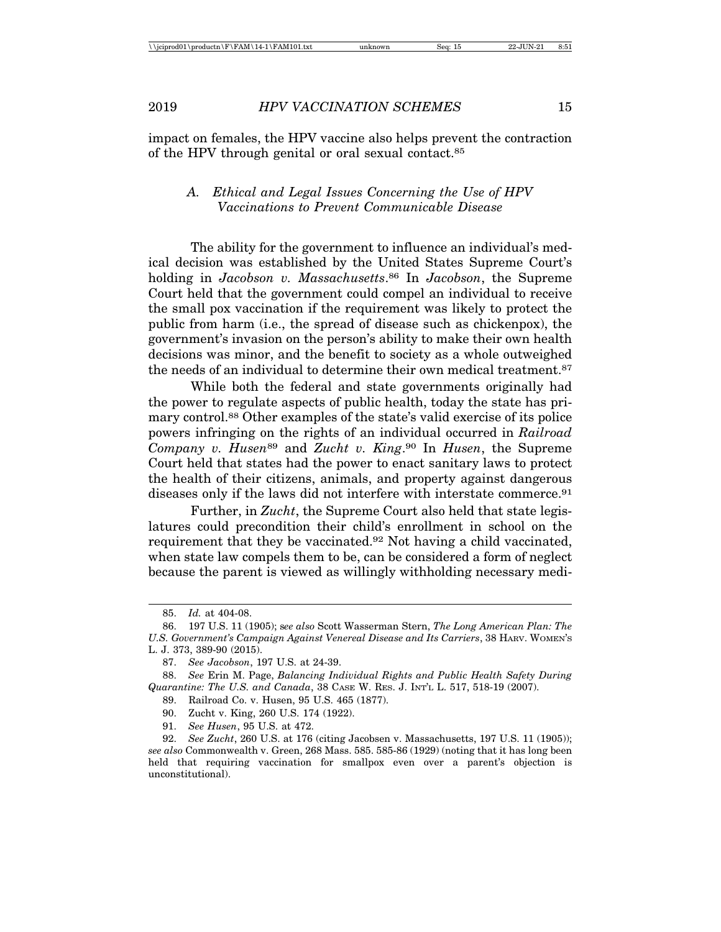impact on females, the HPV vaccine also helps prevent the contraction of the HPV through genital or oral sexual contact.85

# *A. Ethical and Legal Issues Concerning the Use of HPV Vaccinations to Prevent Communicable Disease*

The ability for the government to influence an individual's medical decision was established by the United States Supreme Court's holding in *Jacobson v. Massachusetts*.86 In *Jacobson*, the Supreme Court held that the government could compel an individual to receive the small pox vaccination if the requirement was likely to protect the public from harm (i.e., the spread of disease such as chickenpox), the government's invasion on the person's ability to make their own health decisions was minor, and the benefit to society as a whole outweighed the needs of an individual to determine their own medical treatment.<sup>87</sup>

While both the federal and state governments originally had the power to regulate aspects of public health, today the state has primary control.88 Other examples of the state's valid exercise of its police powers infringing on the rights of an individual occurred in *Railroad Company v. Husen*89 and *Zucht v. King*.90 In *Husen*, the Supreme Court held that states had the power to enact sanitary laws to protect the health of their citizens, animals, and property against dangerous diseases only if the laws did not interfere with interstate commerce.91

Further, in *Zucht*, the Supreme Court also held that state legislatures could precondition their child's enrollment in school on the requirement that they be vaccinated.<sup>92</sup> Not having a child vaccinated, when state law compels them to be, can be considered a form of neglect because the parent is viewed as willingly withholding necessary medi-

<sup>85.</sup> *Id.* at 404-08.

<sup>86. 197</sup> U.S. 11 (1905); s*ee also* Scott Wasserman Stern, *The Long American Plan: The U.S. Government's Campaign Against Venereal Disease and Its Carriers*, 38 HARV. WOMEN'S L. J. 373, 389-90 (2015).

<sup>87.</sup> *See Jacobson*, 197 U.S. at 24-39.

<sup>88.</sup> *See* Erin M. Page, *Balancing Individual Rights and Public Health Safety During Quarantine: The U.S. and Canada*, 38 CASE W. RES. J. INT'L L. 517, 518-19 (2007).

<sup>89.</sup> Railroad Co. v. Husen, 95 U.S. 465 (1877).

<sup>90.</sup> Zucht v. King, 260 U.S. 174 (1922).

<sup>91.</sup> *See Husen*, 95 U.S. at 472.

<sup>92.</sup> *See Zucht*, 260 U.S. at 176 (citing Jacobsen v. Massachusetts, 197 U.S. 11 (1905)); *see also* Commonwealth v. Green, 268 Mass. 585. 585-86 (1929) (noting that it has long been held that requiring vaccination for smallpox even over a parent's objection is unconstitutional).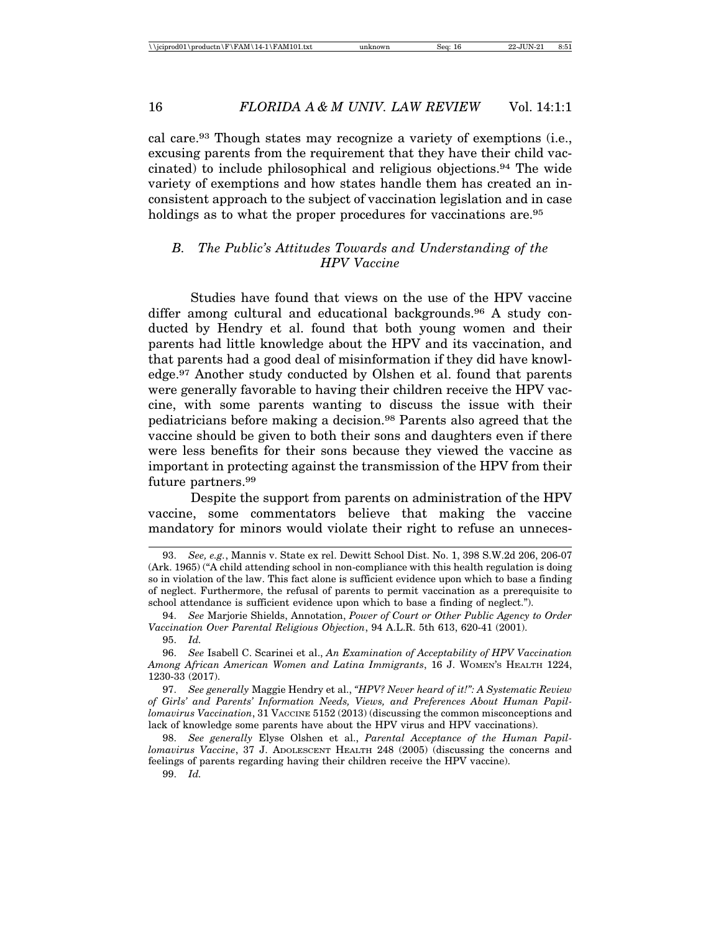cal care.93 Though states may recognize a variety of exemptions (i.e., excusing parents from the requirement that they have their child vaccinated) to include philosophical and religious objections.94 The wide variety of exemptions and how states handle them has created an inconsistent approach to the subject of vaccination legislation and in case holdings as to what the proper procedures for vaccinations are.<sup>95</sup>

# *B. The Public's Attitudes Towards and Understanding of the HPV Vaccine*

Studies have found that views on the use of the HPV vaccine differ among cultural and educational backgrounds.96 A study conducted by Hendry et al. found that both young women and their parents had little knowledge about the HPV and its vaccination, and that parents had a good deal of misinformation if they did have knowledge.97 Another study conducted by Olshen et al. found that parents were generally favorable to having their children receive the HPV vaccine, with some parents wanting to discuss the issue with their pediatricians before making a decision.98 Parents also agreed that the vaccine should be given to both their sons and daughters even if there were less benefits for their sons because they viewed the vaccine as important in protecting against the transmission of the HPV from their future partners.99

Despite the support from parents on administration of the HPV vaccine, some commentators believe that making the vaccine mandatory for minors would violate their right to refuse an unneces-

99. *Id.*

<sup>93.</sup> *See, e.g.*, Mannis v. State ex rel. Dewitt School Dist. No. 1, 398 S.W.2d 206, 206-07 (Ark. 1965) ("A child attending school in non-compliance with this health regulation is doing so in violation of the law. This fact alone is sufficient evidence upon which to base a finding of neglect. Furthermore, the refusal of parents to permit vaccination as a prerequisite to school attendance is sufficient evidence upon which to base a finding of neglect.").

<sup>94.</sup> *See* Marjorie Shields, Annotation, *Power of Court or Other Public Agency to Order Vaccination Over Parental Religious Objection*, 94 A.L.R. 5th 613, 620-41 (2001).

<sup>95.</sup> *Id.*

<sup>96.</sup> *See* Isabell C. Scarinei et al., *An Examination of Acceptability of HPV Vaccination Among African American Women and Latina Immigrants*, 16 J. WOMEN'S HEALTH 1224, 1230-33 (2017).

<sup>97.</sup> *See generally* Maggie Hendry et al., *"HPV? Never heard of it!": A Systematic Review of Girls' and Parents' Information Needs, Views, and Preferences About Human Papillomavirus Vaccination*, 31 VACCINE 5152 (2013) (discussing the common misconceptions and lack of knowledge some parents have about the HPV virus and HPV vaccinations).

<sup>98.</sup> *See generally* Elyse Olshen et al., *Parental Acceptance of the Human Papillomavirus Vaccine*, 37 J. ADOLESCENT HEALTH 248 (2005) (discussing the concerns and feelings of parents regarding having their children receive the HPV vaccine).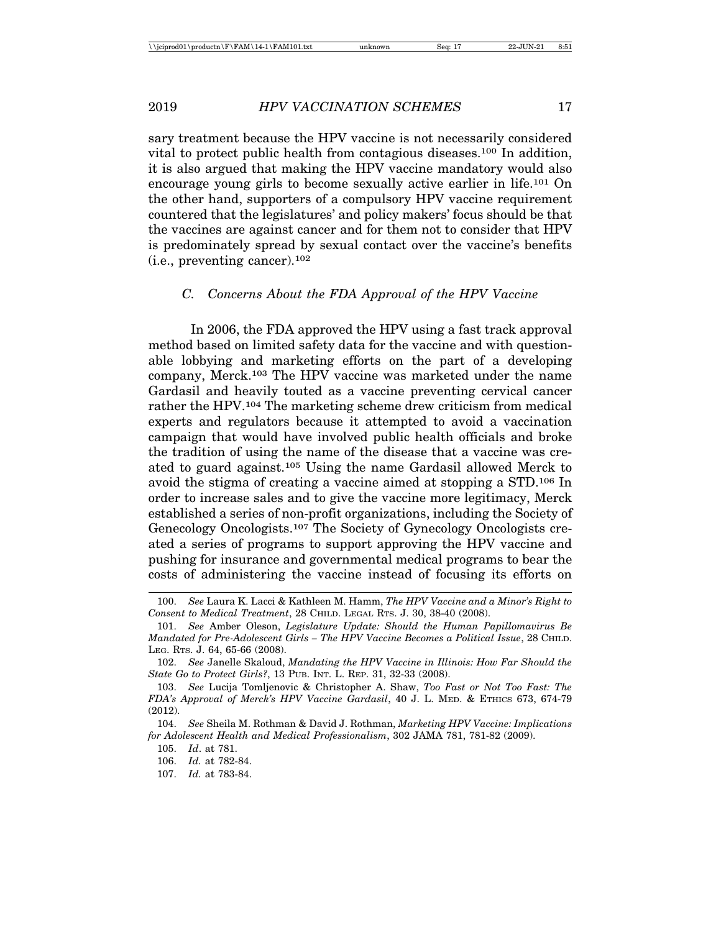sary treatment because the HPV vaccine is not necessarily considered vital to protect public health from contagious diseases.100 In addition, it is also argued that making the HPV vaccine mandatory would also encourage young girls to become sexually active earlier in life.101 On the other hand, supporters of a compulsory HPV vaccine requirement countered that the legislatures' and policy makers' focus should be that the vaccines are against cancer and for them not to consider that HPV is predominately spread by sexual contact over the vaccine's benefits (i.e., preventing cancer).102

### *C. Concerns About the FDA Approval of the HPV Vaccine*

In 2006, the FDA approved the HPV using a fast track approval method based on limited safety data for the vaccine and with questionable lobbying and marketing efforts on the part of a developing company, Merck.103 The HPV vaccine was marketed under the name Gardasil and heavily touted as a vaccine preventing cervical cancer rather the HPV.104 The marketing scheme drew criticism from medical experts and regulators because it attempted to avoid a vaccination campaign that would have involved public health officials and broke the tradition of using the name of the disease that a vaccine was created to guard against.105 Using the name Gardasil allowed Merck to avoid the stigma of creating a vaccine aimed at stopping a STD.106 In order to increase sales and to give the vaccine more legitimacy, Merck established a series of non-profit organizations, including the Society of Genecology Oncologists.107 The Society of Gynecology Oncologists created a series of programs to support approving the HPV vaccine and pushing for insurance and governmental medical programs to bear the costs of administering the vaccine instead of focusing its efforts on

<sup>100.</sup> *See* Laura K. Lacci & Kathleen M. Hamm, *The HPV Vaccine and a Minor's Right to Consent to Medical Treatment*, 28 CHILD. LEGAL RTS. J. 30, 38-40 (2008).

<sup>101.</sup> *See* Amber Oleson, *Legislature Update: Should the Human Papillomavirus Be Mandated for Pre-Adolescent Girls – The HPV Vaccine Becomes a Political Issue*, 28 CHILD. LEG. RTS. J. 64, 65-66 (2008).

<sup>102.</sup> *See* Janelle Skaloud, *Mandating the HPV Vaccine in Illinois: How Far Should the State Go to Protect Girls?*, 13 PUB. INT. L. REP. 31, 32-33 (2008).

<sup>103.</sup> *See* Lucija Tomljenovic & Christopher A. Shaw, *Too Fast or Not Too Fast: The FDA's Approval of Merck's HPV Vaccine Gardasil*, 40 J. L. MED. & ETHICS 673, 674-79 (2012).

<sup>104.</sup> *See* Sheila M. Rothman & David J. Rothman, *Marketing HPV Vaccine: Implications for Adolescent Health and Medical Professionalism*, 302 JAMA 781, 781-82 (2009).

<sup>105.</sup> *Id*. at 781.

<sup>106.</sup> *Id.* at 782-84.

<sup>107.</sup> *Id.* at 783-84.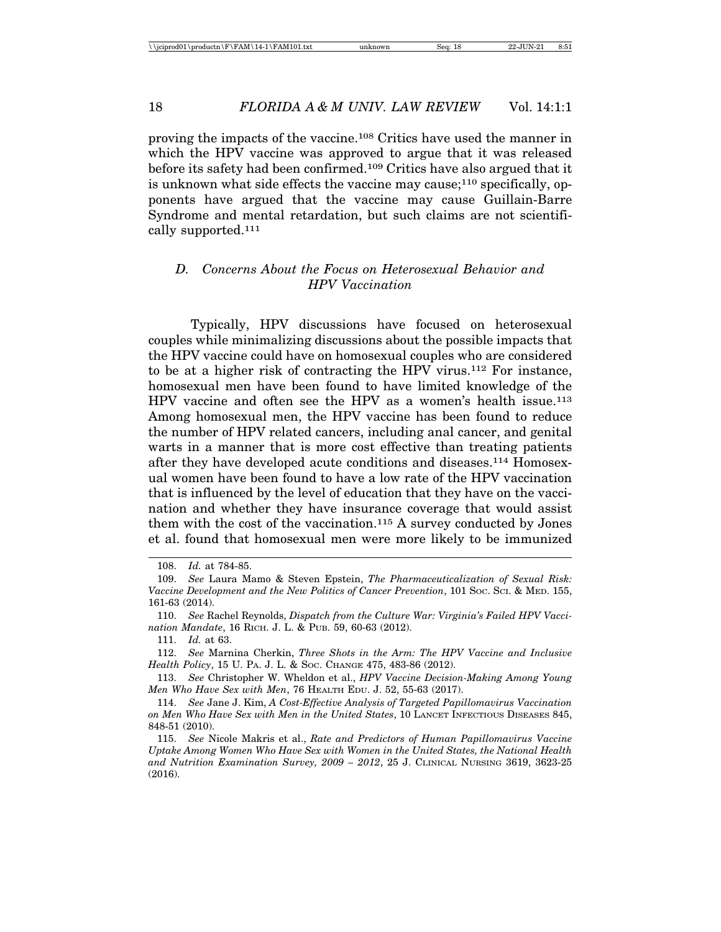proving the impacts of the vaccine.108 Critics have used the manner in which the HPV vaccine was approved to argue that it was released before its safety had been confirmed.109 Critics have also argued that it is unknown what side effects the vaccine may cause; $1^{10}$  specifically, opponents have argued that the vaccine may cause Guillain-Barre Syndrome and mental retardation, but such claims are not scientifically supported.111

# *D. Concerns About the Focus on Heterosexual Behavior and HPV Vaccination*

Typically, HPV discussions have focused on heterosexual couples while minimalizing discussions about the possible impacts that the HPV vaccine could have on homosexual couples who are considered to be at a higher risk of contracting the HPV virus.112 For instance, homosexual men have been found to have limited knowledge of the HPV vaccine and often see the HPV as a women's health issue.113 Among homosexual men, the HPV vaccine has been found to reduce the number of HPV related cancers, including anal cancer, and genital warts in a manner that is more cost effective than treating patients after they have developed acute conditions and diseases.114 Homosexual women have been found to have a low rate of the HPV vaccination that is influenced by the level of education that they have on the vaccination and whether they have insurance coverage that would assist them with the cost of the vaccination.<sup>115</sup> A survey conducted by Jones et al. found that homosexual men were more likely to be immunized

<sup>108.</sup> *Id.* at 784-85.

<sup>109.</sup> *See* Laura Mamo & Steven Epstein, *The Pharmaceuticalization of Sexual Risk: Vaccine Development and the New Politics of Cancer Prevention*, 101 SOC. SCI. & MED. 155, 161-63 (2014).

<sup>110.</sup> *See* Rachel Reynolds, *Dispatch from the Culture War: Virginia's Failed HPV Vaccination Mandate*, 16 RICH. J. L. & PUB. 59, 60-63 (2012).

<sup>111.</sup> *Id.* at 63.

<sup>112.</sup> *See* Marnina Cherkin, *Three Shots in the Arm: The HPV Vaccine and Inclusive Health Policy*, 15 U. PA. J. L. & SOC. CHANGE 475, 483-86 (2012).

<sup>113.</sup> *See* Christopher W. Wheldon et al., *HPV Vaccine Decision-Making Among Young Men Who Have Sex with Men*, 76 HEALTH EDU. J. 52, 55-63 (2017).

<sup>114.</sup> *See* Jane J. Kim, *A Cost-Effective Analysis of Targeted Papillomavirus Vaccination on Men Who Have Sex with Men in the United States*, 10 LANCET INFECTIOUS DISEASES 845, 848-51 (2010).

<sup>115.</sup> *See* Nicole Makris et al., *Rate and Predictors of Human Papillomavirus Vaccine Uptake Among Women Who Have Sex with Women in the United States, the National Health and Nutrition Examination Survey, 2009 – 2012*, 25 J. CLINICAL NURSING 3619, 3623-25 (2016).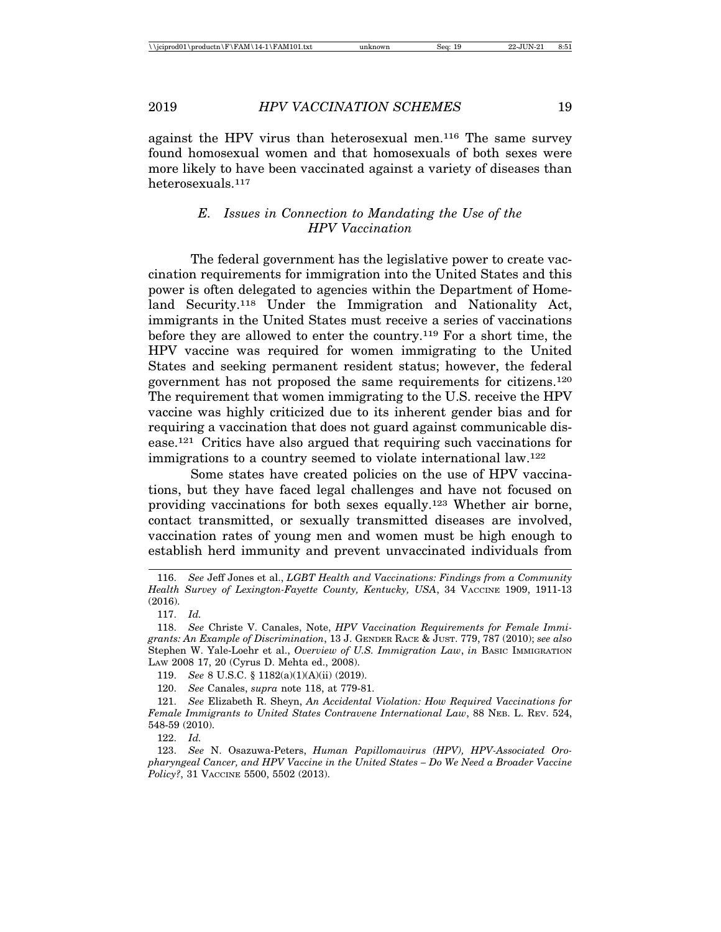against the HPV virus than heterosexual men.116 The same survey found homosexual women and that homosexuals of both sexes were more likely to have been vaccinated against a variety of diseases than heterosexuals.117

## *E. Issues in Connection to Mandating the Use of the HPV Vaccination*

The federal government has the legislative power to create vaccination requirements for immigration into the United States and this power is often delegated to agencies within the Department of Homeland Security.118 Under the Immigration and Nationality Act, immigrants in the United States must receive a series of vaccinations before they are allowed to enter the country.119 For a short time, the HPV vaccine was required for women immigrating to the United States and seeking permanent resident status; however, the federal government has not proposed the same requirements for citizens.120 The requirement that women immigrating to the U.S. receive the HPV vaccine was highly criticized due to its inherent gender bias and for requiring a vaccination that does not guard against communicable disease.121 Critics have also argued that requiring such vaccinations for immigrations to a country seemed to violate international law.122

Some states have created policies on the use of HPV vaccinations, but they have faced legal challenges and have not focused on providing vaccinations for both sexes equally.123 Whether air borne, contact transmitted, or sexually transmitted diseases are involved, vaccination rates of young men and women must be high enough to establish herd immunity and prevent unvaccinated individuals from

122. *Id.*

<sup>116.</sup> *See* Jeff Jones et al., *LGBT Health and Vaccinations: Findings from a Community Health Survey of Lexington-Fayette County, Kentucky, USA*, 34 VACCINE 1909, 1911-13 (2016).

<sup>117.</sup> *Id.*

<sup>118.</sup> *See* Christe V. Canales, Note, *HPV Vaccination Requirements for Female Immigrants: An Example of Discrimination*, 13 J. GENDER RACE & JUST. 779, 787 (2010); *see also* Stephen W. Yale-Loehr et al., *Overview of U.S. Immigration Law*, *in* BASIC IMMIGRATION LAW 2008 17, 20 (Cyrus D. Mehta ed., 2008).

<sup>119.</sup> *See* 8 U.S.C. § 1182(a)(1)(A)(ii) (2019).

<sup>120.</sup> *See* Canales, *supra* note 118, at 779-81.

<sup>121.</sup> *See* Elizabeth R. Sheyn, *An Accidental Violation: How Required Vaccinations for Female Immigrants to United States Contravene International Law*, 88 NEB. L. REV. 524, 548-59 (2010).

<sup>123.</sup> *See* N. Osazuwa-Peters, *Human Papillomavirus (HPV), HPV-Associated Oropharyngeal Cancer, and HPV Vaccine in the United States – Do We Need a Broader Vaccine Policy?*, 31 VACCINE 5500, 5502 (2013).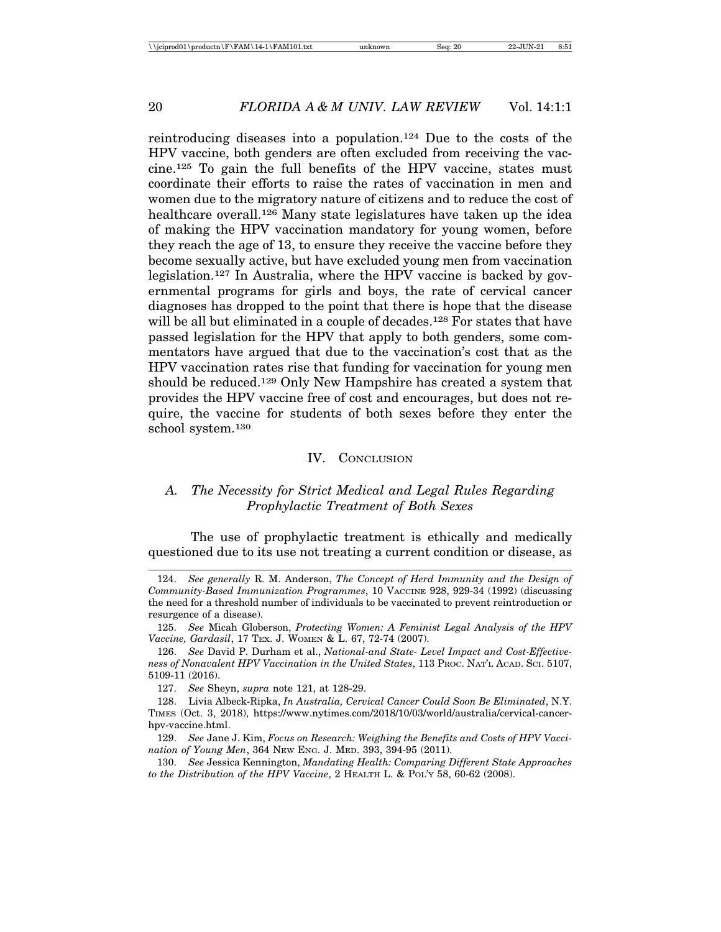reintroducing diseases into a population.124 Due to the costs of the HPV vaccine, both genders are often excluded from receiving the vaccine.125 To gain the full benefits of the HPV vaccine, states must coordinate their efforts to raise the rates of vaccination in men and women due to the migratory nature of citizens and to reduce the cost of healthcare overall.<sup>126</sup> Many state legislatures have taken up the idea of making the HPV vaccination mandatory for young women, before they reach the age of 13, to ensure they receive the vaccine before they become sexually active, but have excluded young men from vaccination legislation.127 In Australia, where the HPV vaccine is backed by governmental programs for girls and boys, the rate of cervical cancer diagnoses has dropped to the point that there is hope that the disease will be all but eliminated in a couple of decades.<sup>128</sup> For states that have passed legislation for the HPV that apply to both genders, some commentators have argued that due to the vaccination's cost that as the HPV vaccination rates rise that funding for vaccination for young men should be reduced.129 Only New Hampshire has created a system that provides the HPV vaccine free of cost and encourages, but does not require, the vaccine for students of both sexes before they enter the school system.130

### IV. CONCLUSION

# *A. The Necessity for Strict Medical and Legal Rules Regarding Prophylactic Treatment of Both Sexes*

The use of prophylactic treatment is ethically and medically questioned due to its use not treating a current condition or disease, as

<sup>124.</sup> *See generally* R. M. Anderson, *The Concept of Herd Immunity and the Design of Community-Based Immunization Programmes*, 10 VACCINE 928, 929-34 (1992) (discussing the need for a threshold number of individuals to be vaccinated to prevent reintroduction or resurgence of a disease).

<sup>125.</sup> *See* Micah Globerson, *Protecting Women: A Feminist Legal Analysis of the HPV Vaccine, Gardasil*, 17 TEX. J. WOMEN & L. 67, 72-74 (2007).

<sup>126.</sup> *See* David P. Durham et al., *National-and State- Level Impact and Cost-Effectiveness of Nonavalent HPV Vaccination in the United States*, 113 PROC. NAT'L ACAD. SCI. 5107, 5109-11 (2016).

<sup>127.</sup> *See* Sheyn, *supra* note 121, at 128-29.

<sup>128.</sup> Livia Albeck-Ripka, *In Australia, Cervical Cancer Could Soon Be Eliminated*, N.Y. TIMES (Oct. 3, 2018), https://www.nytimes.com/2018/10/03/world/australia/cervical-cancerhpv-vaccine.html.

<sup>129.</sup> *See* Jane J. Kim, *Focus on Research: Weighing the Benefits and Costs of HPV Vaccination of Young Men*, 364 NEW ENG. J. MED. 393, 394-95 (2011).

<sup>130.</sup> *See* Jessica Kennington, *Mandating Health: Comparing Different State Approaches to the Distribution of the HPV Vaccine*, 2 HEALTH L. & POL'Y 58, 60-62 (2008).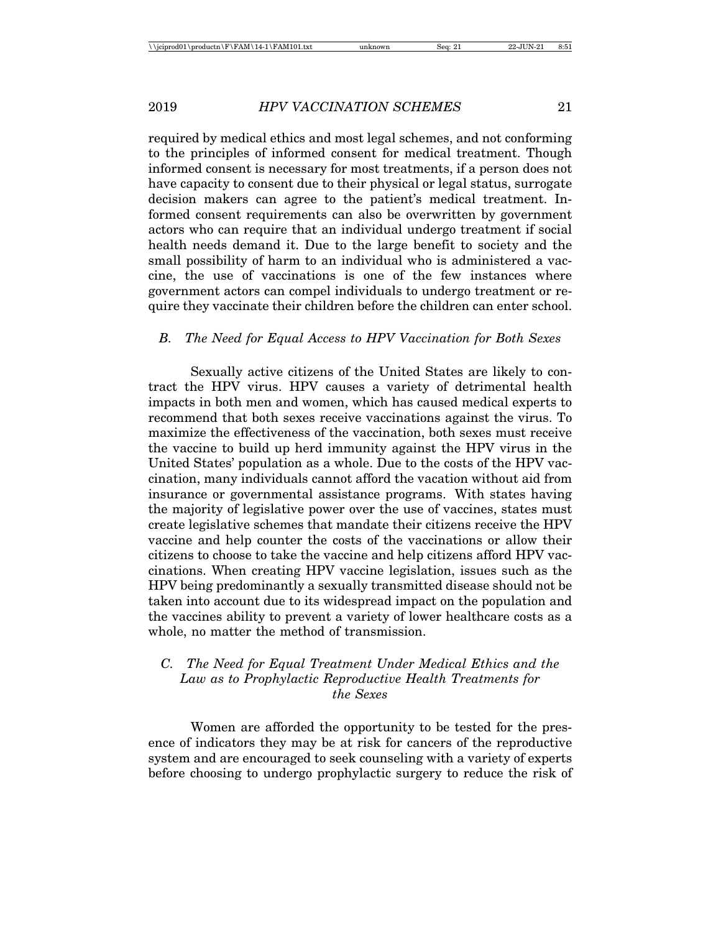required by medical ethics and most legal schemes, and not conforming to the principles of informed consent for medical treatment. Though informed consent is necessary for most treatments, if a person does not have capacity to consent due to their physical or legal status, surrogate decision makers can agree to the patient's medical treatment. Informed consent requirements can also be overwritten by government actors who can require that an individual undergo treatment if social health needs demand it. Due to the large benefit to society and the small possibility of harm to an individual who is administered a vaccine, the use of vaccinations is one of the few instances where government actors can compel individuals to undergo treatment or require they vaccinate their children before the children can enter school.

### *B. The Need for Equal Access to HPV Vaccination for Both Sexes*

Sexually active citizens of the United States are likely to contract the HPV virus. HPV causes a variety of detrimental health impacts in both men and women, which has caused medical experts to recommend that both sexes receive vaccinations against the virus. To maximize the effectiveness of the vaccination, both sexes must receive the vaccine to build up herd immunity against the HPV virus in the United States' population as a whole. Due to the costs of the HPV vaccination, many individuals cannot afford the vacation without aid from insurance or governmental assistance programs. With states having the majority of legislative power over the use of vaccines, states must create legislative schemes that mandate their citizens receive the HPV vaccine and help counter the costs of the vaccinations or allow their citizens to choose to take the vaccine and help citizens afford HPV vaccinations. When creating HPV vaccine legislation, issues such as the HPV being predominantly a sexually transmitted disease should not be taken into account due to its widespread impact on the population and the vaccines ability to prevent a variety of lower healthcare costs as a whole, no matter the method of transmission.

## *C. The Need for Equal Treatment Under Medical Ethics and the Law as to Prophylactic Reproductive Health Treatments for the Sexes*

Women are afforded the opportunity to be tested for the presence of indicators they may be at risk for cancers of the reproductive system and are encouraged to seek counseling with a variety of experts before choosing to undergo prophylactic surgery to reduce the risk of